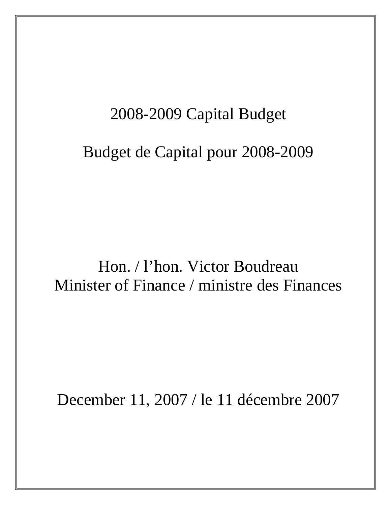# 2008-2009 Capital Budget

# Budget de Capital pour 2008-2009

# Hon. / l'hon. Victor Boudreau Minister of Finance / ministre des Finances

December 11, 2007 / le 11 décembre 2007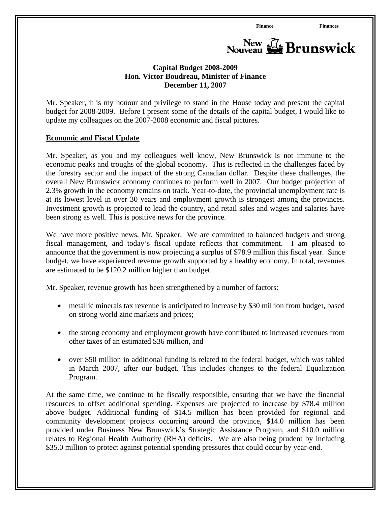

## **Capital Budget 2008-2009 Hon. Victor Boudreau, Minister of Finance December 11, 2007**

Mr. Speaker, it is my honour and privilege to stand in the House today and present the capital budget for 2008-2009. Before I present some of the details of the capital budget, I would like to update my colleagues on the 2007-2008 economic and fiscal pictures.

#### **Economic and Fiscal Update**

Mr. Speaker, as you and my colleagues well know, New Brunswick is not immune to the economic peaks and troughs of the global economy. This is reflected in the challenges faced by the forestry sector and the impact of the strong Canadian dollar. Despite these challenges, the overall New Brunswick economy continues to perform well in 2007. Our budget projection of 2.3% growth in the economy remains on track. Year-to-date, the provincial unemployment rate is at its lowest level in over 30 years and employment growth is strongest among the provinces. Investment growth is projected to lead the country, and retail sales and wages and salaries have been strong as well. This is positive news for the province.

We have more positive news, Mr. Speaker. We are committed to balanced budgets and strong fiscal management, and today's fiscal update reflects that commitment. I am pleased to announce that the government is now projecting a surplus of \$78.9 million this fiscal year. Since budget, we have experienced revenue growth supported by a healthy economy. In total, revenues are estimated to be \$120.2 million higher than budget.

Mr. Speaker, revenue growth has been strengthened by a number of factors:

- metallic minerals tax revenue is anticipated to increase by \$30 million from budget, based on strong world zinc markets and prices;
- the strong economy and employment growth have contributed to increased revenues from other taxes of an estimated \$36 million, and
- over \$50 million in additional funding is related to the federal budget, which was tabled in March 2007, after our budget. This includes changes to the federal Equalization Program.

At the same time, we continue to be fiscally responsible, ensuring that we have the financial resources to offset additional spending. Expenses are projected to increase by \$78.4 million above budget. Additional funding of \$14.5 million has been provided for regional and community development projects occurring around the province, \$14.0 million has been provided under Business New Brunswick's Strategic Assistance Program, and \$10.0 million relates to Regional Health Authority (RHA) deficits. We are also being prudent by including \$35.0 million to protect against potential spending pressures that could occur by year-end.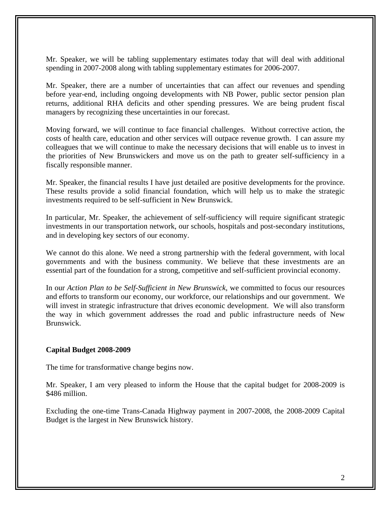Mr. Speaker, we will be tabling supplementary estimates today that will deal with additional spending in 2007-2008 along with tabling supplementary estimates for 2006-2007.

Mr. Speaker, there are a number of uncertainties that can affect our revenues and spending before year-end, including ongoing developments with NB Power, public sector pension plan returns, additional RHA deficits and other spending pressures. We are being prudent fiscal managers by recognizing these uncertainties in our forecast.

Moving forward, we will continue to face financial challenges. Without corrective action, the costs of health care, education and other services will outpace revenue growth. I can assure my colleagues that we will continue to make the necessary decisions that will enable us to invest in the priorities of New Brunswickers and move us on the path to greater self-sufficiency in a fiscally responsible manner.

Mr. Speaker, the financial results I have just detailed are positive developments for the province. These results provide a solid financial foundation, which will help us to make the strategic investments required to be self-sufficient in New Brunswick.

In particular, Mr. Speaker, the achievement of self-sufficiency will require significant strategic investments in our transportation network, our schools, hospitals and post-secondary institutions, and in developing key sectors of our economy.

We cannot do this alone. We need a strong partnership with the federal government, with local governments and with the business community. We believe that these investments are an essential part of the foundation for a strong, competitive and self-sufficient provincial economy.

In our *Action Plan to be Self-Sufficient in New Brunswick*, we committed to focus our resources and efforts to transform our economy, our workforce, our relationships and our government. We will invest in strategic infrastructure that drives economic development. We will also transform the way in which government addresses the road and public infrastructure needs of New Brunswick.

#### **Capital Budget 2008-2009**

The time for transformative change begins now.

Mr. Speaker, I am very pleased to inform the House that the capital budget for 2008-2009 is \$486 million.

Excluding the one-time Trans-Canada Highway payment in 2007-2008, the 2008-2009 Capital Budget is the largest in New Brunswick history.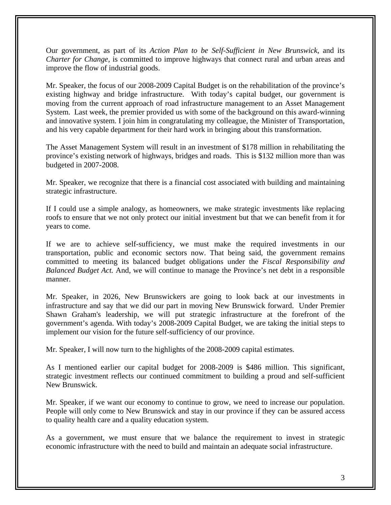Our government, as part of its *Action Plan to be Self-Sufficient in New Brunswick*, and its *Charter for Change,* is committed to improve highways that connect rural and urban areas and improve the flow of industrial goods.

Mr. Speaker, the focus of our 2008-2009 Capital Budget is on the rehabilitation of the province's existing highway and bridge infrastructure. With today's capital budget, our government is moving from the current approach of road infrastructure management to an Asset Management System. Last week, the premier provided us with some of the background on this award-winning and innovative system. I join him in congratulating my colleague, the Minister of Transportation, and his very capable department for their hard work in bringing about this transformation.

The Asset Management System will result in an investment of \$178 million in rehabilitating the province's existing network of highways, bridges and roads. This is \$132 million more than was budgeted in 2007-2008.

Mr. Speaker, we recognize that there is a financial cost associated with building and maintaining strategic infrastructure.

If I could use a simple analogy, as homeowners, we make strategic investments like replacing roofs to ensure that we not only protect our initial investment but that we can benefit from it for years to come.

If we are to achieve self-sufficiency, we must make the required investments in our transportation, public and economic sectors now. That being said, the government remains committed to meeting its balanced budget obligations under the *Fiscal Responsibility and Balanced Budget Act.* And, we will continue to manage the Province's net debt in a responsible manner.

Mr. Speaker, in 2026, New Brunswickers are going to look back at our investments in infrastructure and say that we did our part in moving New Brunswick forward. Under Premier Shawn Graham's leadership, we will put strategic infrastructure at the forefront of the government's agenda. With today's 2008-2009 Capital Budget, we are taking the initial steps to implement our vision for the future self-sufficiency of our province.

Mr. Speaker, I will now turn to the highlights of the 2008-2009 capital estimates.

As I mentioned earlier our capital budget for 2008-2009 is \$486 million. This significant, strategic investment reflects our continued commitment to building a proud and self-sufficient New Brunswick.

Mr. Speaker, if we want our economy to continue to grow, we need to increase our population. People will only come to New Brunswick and stay in our province if they can be assured access to quality health care and a quality education system.

As a government, we must ensure that we balance the requirement to invest in strategic economic infrastructure with the need to build and maintain an adequate social infrastructure.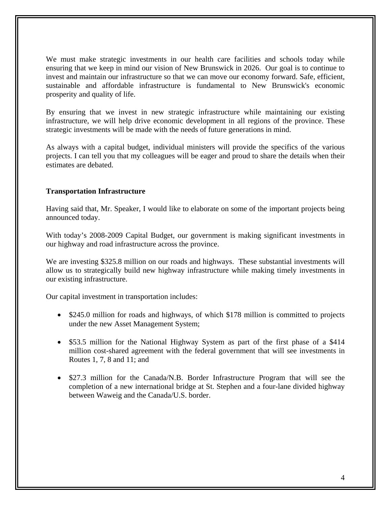We must make strategic investments in our health care facilities and schools today while ensuring that we keep in mind our vision of New Brunswick in 2026. Our goal is to continue to invest and maintain our infrastructure so that we can move our economy forward. Safe, efficient, sustainable and affordable infrastructure is fundamental to New Brunswick's economic prosperity and quality of life.

By ensuring that we invest in new strategic infrastructure while maintaining our existing infrastructure, we will help drive economic development in all regions of the province. These strategic investments will be made with the needs of future generations in mind.

As always with a capital budget, individual ministers will provide the specifics of the various projects. I can tell you that my colleagues will be eager and proud to share the details when their estimates are debated.

## **Transportation Infrastructure**

Having said that, Mr. Speaker, I would like to elaborate on some of the important projects being announced today.

With today's 2008-2009 Capital Budget, our government is making significant investments in our highway and road infrastructure across the province.

We are investing \$325.8 million on our roads and highways. These substantial investments will allow us to strategically build new highway infrastructure while making timely investments in our existing infrastructure.

Our capital investment in transportation includes:

- \$245.0 million for roads and highways, of which \$178 million is committed to projects under the new Asset Management System;
- \$53.5 million for the National Highway System as part of the first phase of a \$414 million cost-shared agreement with the federal government that will see investments in Routes 1, 7, 8 and 11; and
- \$27.3 million for the Canada/N.B. Border Infrastructure Program that will see the completion of a new international bridge at St. Stephen and a four-lane divided highway between Waweig and the Canada/U.S. border.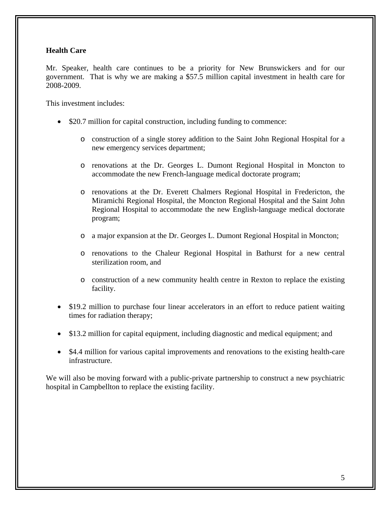# **Health Care**

Mr. Speaker, health care continues to be a priority for New Brunswickers and for our government. That is why we are making a \$57.5 million capital investment in health care for 2008-2009.

This investment includes:

- \$20.7 million for capital construction, including funding to commence:
	- o construction of a single storey addition to the Saint John Regional Hospital for a new emergency services department;
	- o renovations at the Dr. Georges L. Dumont Regional Hospital in Moncton to accommodate the new French-language medical doctorate program;
	- o renovations at the Dr. Everett Chalmers Regional Hospital in Fredericton, the Miramichi Regional Hospital, the Moncton Regional Hospital and the Saint John Regional Hospital to accommodate the new English-language medical doctorate program;
	- o a major expansion at the Dr. Georges L. Dumont Regional Hospital in Moncton;
	- o renovations to the Chaleur Regional Hospital in Bathurst for a new central sterilization room, and
	- o construction of a new community health centre in Rexton to replace the existing facility.
- \$19.2 million to purchase four linear accelerators in an effort to reduce patient waiting times for radiation therapy;
- \$13.2 million for capital equipment, including diagnostic and medical equipment; and
- \$4.4 million for various capital improvements and renovations to the existing health-care infrastructure.

We will also be moving forward with a public-private partnership to construct a new psychiatric hospital in Campbellton to replace the existing facility.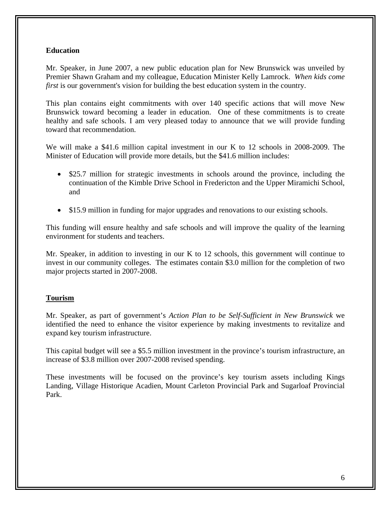## **Education**

Mr. Speaker, in June 2007, a new public education plan for New Brunswick was unveiled by Premier Shawn Graham and my colleague, Education Minister Kelly Lamrock. *When kids come first* is our government's vision for building the best education system in the country.

This plan contains eight commitments with over 140 specific actions that will move New Brunswick toward becoming a leader in education. One of these commitments is to create healthy and safe schools. I am very pleased today to announce that we will provide funding toward that recommendation.

We will make a \$41.6 million capital investment in our K to 12 schools in 2008-2009. The Minister of Education will provide more details, but the \$41.6 million includes:

- \$25.7 million for strategic investments in schools around the province, including the continuation of the Kimble Drive School in Fredericton and the Upper Miramichi School, and
- \$15.9 million in funding for major upgrades and renovations to our existing schools.

This funding will ensure healthy and safe schools and will improve the quality of the learning environment for students and teachers.

Mr. Speaker, in addition to investing in our K to 12 schools, this government will continue to invest in our community colleges. The estimates contain \$3.0 million for the completion of two major projects started in 2007-2008.

# **Tourism**

Mr. Speaker, as part of government's *Action Plan to be Self-Sufficient in New Brunswick* we identified the need to enhance the visitor experience by making investments to revitalize and expand key tourism infrastructure.

This capital budget will see a \$5.5 million investment in the province's tourism infrastructure, an increase of \$3.8 million over 2007-2008 revised spending.

These investments will be focused on the province's key tourism assets including Kings Landing, Village Historique Acadien, Mount Carleton Provincial Park and Sugarloaf Provincial Park.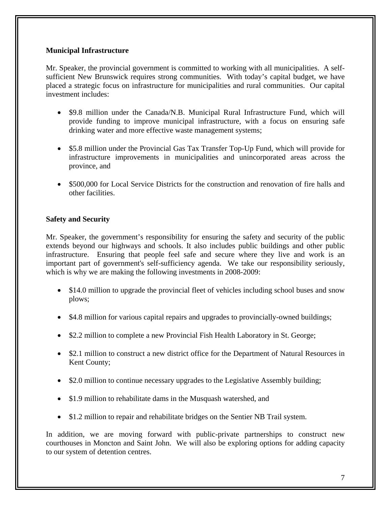## **Municipal Infrastructure**

Mr. Speaker, the provincial government is committed to working with all municipalities. A selfsufficient New Brunswick requires strong communities. With today's capital budget, we have placed a strategic focus on infrastructure for municipalities and rural communities. Our capital investment includes:

- \$9.8 million under the Canada/N.B. Municipal Rural Infrastructure Fund, which will provide funding to improve municipal infrastructure, with a focus on ensuring safe drinking water and more effective waste management systems;
- \$5.8 million under the Provincial Gas Tax Transfer Top-Up Fund, which will provide for infrastructure improvements in municipalities and unincorporated areas across the province, and
- \$500,000 for Local Service Districts for the construction and renovation of fire halls and other facilities.

# **Safety and Security**

Mr. Speaker, the government's responsibility for ensuring the safety and security of the public extends beyond our highways and schools. It also includes public buildings and other public infrastructure. Ensuring that people feel safe and secure where they live and work is an important part of government's self-sufficiency agenda. We take our responsibility seriously, which is why we are making the following investments in 2008-2009:

- \$14.0 million to upgrade the provincial fleet of vehicles including school buses and snow plows;
- \$4.8 million for various capital repairs and upgrades to provincially-owned buildings;
- \$2.2 million to complete a new Provincial Fish Health Laboratory in St. George;
- \$2.1 million to construct a new district office for the Department of Natural Resources in Kent County;
- \$2.0 million to continue necessary upgrades to the Legislative Assembly building;
- \$1.9 million to rehabilitate dams in the Musquash watershed, and
- \$1.2 million to repair and rehabilitate bridges on the Sentier NB Trail system.

In addition, we are moving forward with public-private partnerships to construct new courthouses in Moncton and Saint John. We will also be exploring options for adding capacity to our system of detention centres.